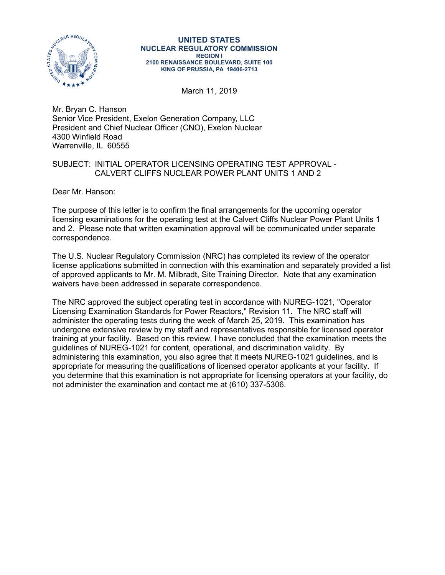

## **UNITED STATES NUCLEAR REGULATORY COMMISSION REGION I 2100 RENAISSANCE BOULEVARD, SUITE 100 KING OF PRUSSIA, PA 19406-2713**

March 11, 2019

Mr. Bryan C. Hanson Senior Vice President, Exelon Generation Company, LLC President and Chief Nuclear Officer (CNO), Exelon Nuclear 4300 Winfield Road Warrenville, IL 60555

## SUBJECT: INITIAL OPERATOR LICENSING OPERATING TEST APPROVAL - CALVERT CLIFFS NUCLEAR POWER PLANT UNITS 1 AND 2

Dear Mr. Hanson:

The purpose of this letter is to confirm the final arrangements for the upcoming operator licensing examinations for the operating test at the Calvert Cliffs Nuclear Power Plant Units 1 and 2. Please note that written examination approval will be communicated under separate correspondence.

The U.S. Nuclear Regulatory Commission (NRC) has completed its review of the operator license applications submitted in connection with this examination and separately provided a list of approved applicants to Mr. M. Milbradt, Site Training Director. Note that any examination waivers have been addressed in separate correspondence.

The NRC approved the subject operating test in accordance with NUREG-1021, "Operator Licensing Examination Standards for Power Reactors," Revision 11. The NRC staff will administer the operating tests during the week of March 25, 2019. This examination has undergone extensive review by my staff and representatives responsible for licensed operator training at your facility. Based on this review, I have concluded that the examination meets the guidelines of NUREG-1021 for content, operational, and discrimination validity. By administering this examination, you also agree that it meets NUREG-1021 guidelines, and is appropriate for measuring the qualifications of licensed operator applicants at your facility. If you determine that this examination is not appropriate for licensing operators at your facility, do not administer the examination and contact me at (610) 337-5306.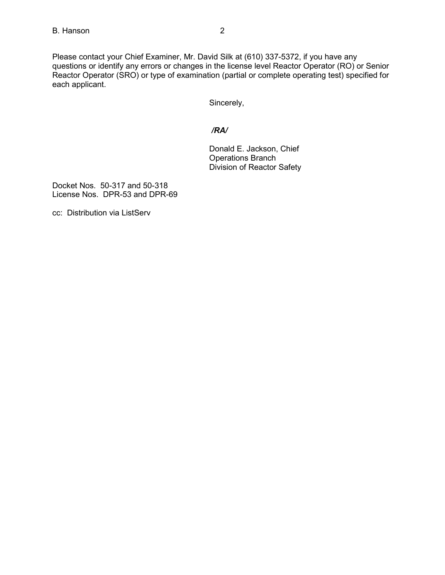Please contact your Chief Examiner, Mr. David Silk at (610) 337-5372, if you have any questions or identify any errors or changes in the license level Reactor Operator (RO) or Senior Reactor Operator (SRO) or type of examination (partial or complete operating test) specified for each applicant.

Sincerely,

## */RA/*

Donald E. Jackson, Chief Operations Branch Division of Reactor Safety

Docket Nos. 50-317 and 50-318 License Nos. DPR-53 and DPR-69

cc: Distribution via ListServ